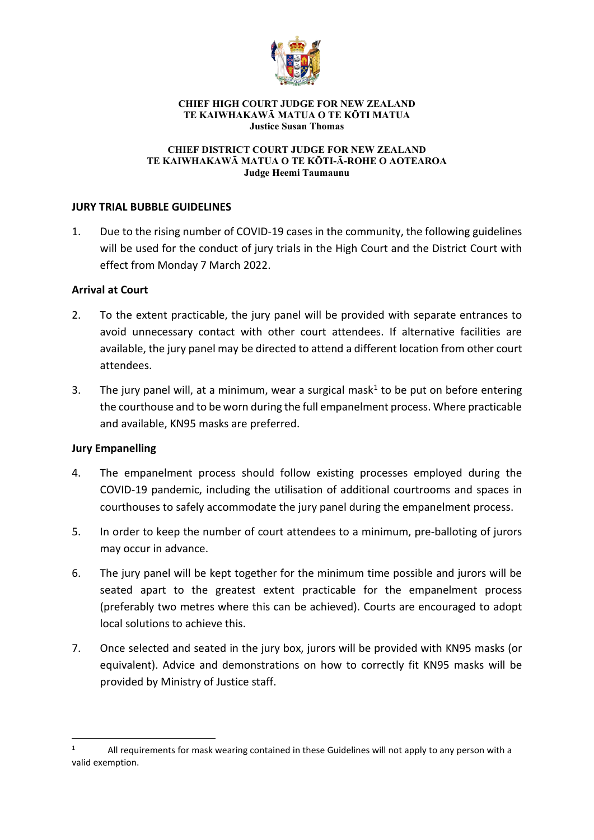

#### **CHIEF HIGH COURT JUDGE FOR NEW ZEALAND TE KAIWHAKAWĀ MATUA O TE KŌTI MATUA Justice Susan Thomas**

#### **CHIEF DISTRICT COURT JUDGE FOR NEW ZEALAND TE KAIWHAKAWĀ MATUA O TE KŌTI-Ā-ROHE O AOTEAROA Judge Heemi Taumaunu**

## **JURY TRIAL BUBBLE GUIDELINES**

1. Due to the rising number of COVID-19 cases in the community, the following guidelines will be used for the conduct of jury trials in the High Court and the District Court with effect from Monday 7 March 2022.

## **Arrival at Court**

- 2. To the extent practicable, the jury panel will be provided with separate entrances to avoid unnecessary contact with other court attendees. If alternative facilities are available, the jury panel may be directed to attend a different location from other court attendees.
- 3. The jury panel will, at a minimum, wear a surgical mask<sup>[1](#page-0-0)</sup> to be put on before entering the courthouse and to be worn during the full empanelment process. Where practicable and available, KN95 masks are preferred.

# **Jury Empanelling**

- 4. The empanelment process should follow existing processes employed during the COVID-19 pandemic, including the utilisation of additional courtrooms and spaces in courthouses to safely accommodate the jury panel during the empanelment process.
- 5. In order to keep the number of court attendees to a minimum, pre-balloting of jurors may occur in advance.
- 6. The jury panel will be kept together for the minimum time possible and jurors will be seated apart to the greatest extent practicable for the empanelment process (preferably two metres where this can be achieved). Courts are encouraged to adopt local solutions to achieve this.
- 7. Once selected and seated in the jury box, jurors will be provided with KN95 masks (or equivalent). Advice and demonstrations on how to correctly fit KN95 masks will be provided by Ministry of Justice staff.

<span id="page-0-0"></span>All requirements for mask wearing contained in these Guidelines will not apply to any person with a valid exemption.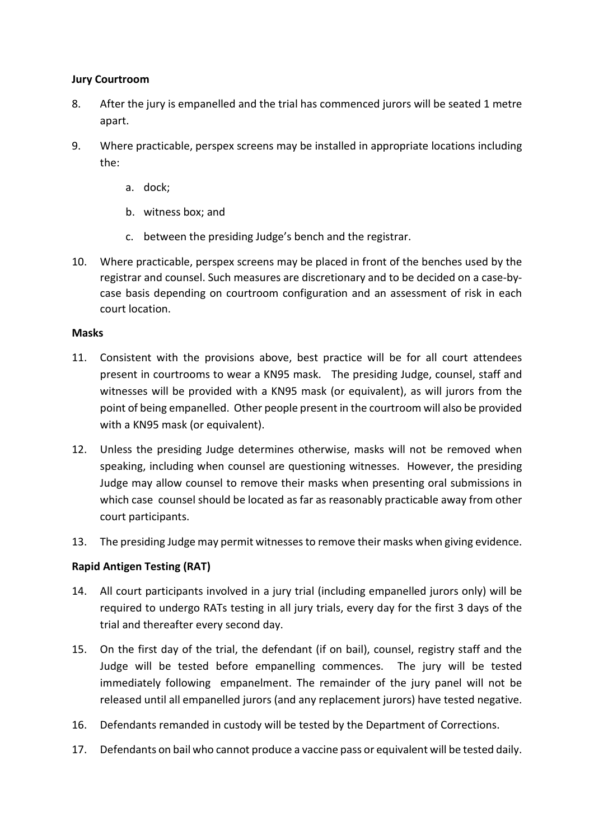## **Jury Courtroom**

- 8. After the jury is empanelled and the trial has commenced jurors will be seated 1 metre apart.
- 9. Where practicable, perspex screens may be installed in appropriate locations including the:
	- a. dock;
	- b. witness box; and
	- c. between the presiding Judge's bench and the registrar.
- 10. Where practicable, perspex screens may be placed in front of the benches used by the registrar and counsel. Such measures are discretionary and to be decided on a case-bycase basis depending on courtroom configuration and an assessment of risk in each court location.

## **Masks**

- 11. Consistent with the provisions above, best practice will be for all court attendees present in courtrooms to wear a KN95 mask. The presiding Judge, counsel, staff and witnesses will be provided with a KN95 mask (or equivalent), as will jurors from the point of being empanelled. Other people present in the courtroom will also be provided with a KN95 mask (or equivalent).
- 12. Unless the presiding Judge determines otherwise, masks will not be removed when speaking, including when counsel are questioning witnesses. However, the presiding Judge may allow counsel to remove their masks when presenting oral submissions in which case counsel should be located as far as reasonably practicable away from other court participants.
- 13. The presiding Judge may permit witnesses to remove their masks when giving evidence.

## **Rapid Antigen Testing (RAT)**

- 14. All court participants involved in a jury trial (including empanelled jurors only) will be required to undergo RATs testing in all jury trials, every day for the first 3 days of the trial and thereafter every second day.
- 15. On the first day of the trial, the defendant (if on bail), counsel, registry staff and the Judge will be tested before empanelling commences. The jury will be tested immediately following empanelment. The remainder of the jury panel will not be released until all empanelled jurors (and any replacement jurors) have tested negative.
- 16. Defendants remanded in custody will be tested by the Department of Corrections.
- 17. Defendants on bail who cannot produce a vaccine pass or equivalent will be tested daily.